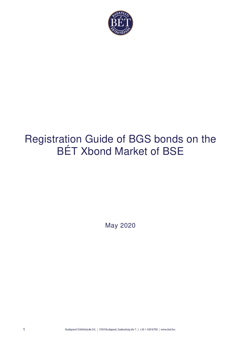

# Registration Guide of BGS bonds on the BÉT Xbond Market of BSE

May 2020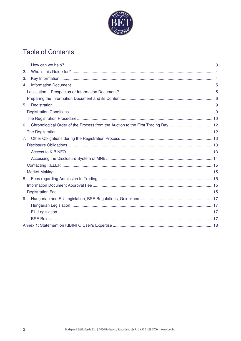

# **Table of Contents**

| 1. |  |  |  |  |
|----|--|--|--|--|
| 2. |  |  |  |  |
| 3. |  |  |  |  |
| 4. |  |  |  |  |
|    |  |  |  |  |
|    |  |  |  |  |
| 5. |  |  |  |  |
|    |  |  |  |  |
|    |  |  |  |  |
| 6. |  |  |  |  |
|    |  |  |  |  |
| 7. |  |  |  |  |
|    |  |  |  |  |
|    |  |  |  |  |
|    |  |  |  |  |
|    |  |  |  |  |
|    |  |  |  |  |
| 8. |  |  |  |  |
|    |  |  |  |  |
|    |  |  |  |  |
| 9. |  |  |  |  |
|    |  |  |  |  |
|    |  |  |  |  |
|    |  |  |  |  |
|    |  |  |  |  |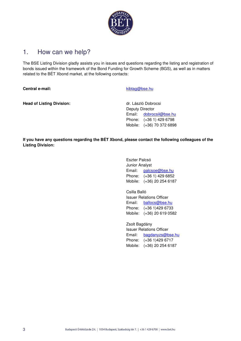

# 1. How can we help?

The BSE Listing Division gladly assists you in issues and questions regarding the listing and registration of bonds issued within the framework of the Bond Funding for Growth Scheme (BGS), as well as in matters related to the BÉT Xbond market, at the following contacts:

**Central e-mail:** Central e-mail:

**Head of Listing Division: Head of Listing Division: dr. László Dobrocsi** 

Deputy Director Email: dobrocsil@bse.hu Phone: (+36 1) 429 6798 Mobile: (+36) 70 372 6898

**If you have any questions regarding the BÉT Xbond, please contact the following colleagues of the Listing Division:** 

> Eszter Palcsó Junior Analyst Email: palcsoe@bse.hu Phone: (+36 1) 429 6852 Mobile: (+36) 20 254 6187

> Csilla Balló Issuer Relations Officer Email: ballocs@bse.hu Phone: (+36 1)429 6733 Mobile: (+36) 20 619 0582

Zsolt Bagdány Issuer Relations Officer Email: bagdanyzs@bse.hu Phone: (+36 1)429 6717 Mobile: (+36) 20 254 6187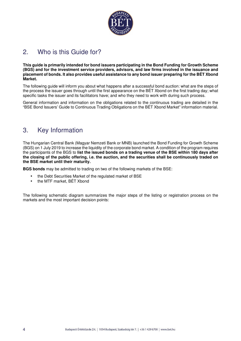

# 2. Who is this Guide for?

**This guide is primarily intended for bond issuers participating in the Bond Funding for Growth Scheme (BGS) and for the investment service providers, advisors, and law firms involved in the issuance and placement of bonds. It also provides useful assistance to any bond issuer preparing for the BÉT Xbond Market.** 

The following guide will inform you about what happens after a successful bond auction: what are the steps of the process the issuer goes through until the first appearance on the BÉT Xbond on the first trading day; what specific tasks the issuer and its facilitators have; and who they need to work with during such process.

General information and information on the obligations related to the continuous trading are detailed in the "BSE Bond Issuers' Guide to Continuous Trading Obligations on the BÉT Xbond Market" information material.

# 3. Key Information

The Hungarian Central Bank (Magyar Nemzeti Bank or MNB) launched the Bond Funding for Growth Scheme (BGS) on 1 July 2019 to increase the liquidity of the corporate bond market. A condition of the program requires the participants of the BGS to **list the issued bonds on a trading venue of the BSE within 180 days after the closing of the public offering, i.e. the auction, and the securities shall be continuously traded on the BSE market until their maturity.**

**BGS bonds** may be admitted to trading on two of the following markets of the BSE:

- the Debt Securities Market of the regulated market of BSE
- the MTF market, BÉT Xbond

The following schematic diagram summarizes the major steps of the listing or registration process on the markets and the most important decision points: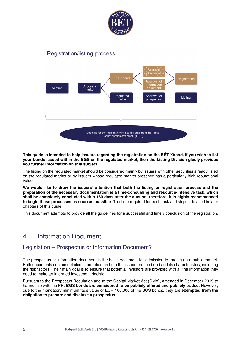

### **Registration/listing process**



**This guide is intended to help issuers regarding the registration on the BÉT Xbond. If you wish to list your bonds issued within the BGS on the regulated market, then the Listing Division gladly provides you further information on this subject.** 

The listing on the regulated market should be considered mainly by issuers with other securities already listed on the regulated market or by issuers whose regulated market presence has a particularly high reputational value.

**We would like to draw the issuers' attention that both the listing or registration process and the preparation of the necessary documentation is a time-consuming and resource-intensive task, which shall be completely concluded within 180 days after the auction, therefore, it is highly recommended to begin these processes as soon as possible**. The time required for each task and step is detailed in later chapters of this guide.

This document attempts to provide all the guidelines for a successful and timely conclusion of the registration.

# 4. Information Document

### Legislation – Prospectus or Information Document?

The prospectus or information document is the basic document for admission to trading on a public market. Both documents contain detailed information on both the issuer and the bond and its characteristics, including the risk factors. Their main goal is to ensure that potential investors are provided with all the information they need to make an informed investment decision.

Pursuant to the Prospectus Regulation and to the Capital Market Act (CMA), amended in December 2019 to harmonize with the PR, **BGS bonds are considered to be publicly offered and publicly traded**. However, due to the mandatory minimum face value of EUR 100,000 of the BGS bonds, they are **exempted from the obligation to prepare and disclose a prospectus**.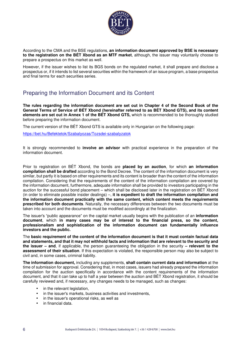

According to the CMA and the BSE regulations, **an information document approved by BSE is necessary to the registration on the BÉT Xbond as an MTF market**, although, the issuer may voluntarily choose to prepare a prospectus on this market as well.

However, if the issuer wishes to list its BGS bonds on the regulated market, it shall prepare and disclose a prospectus or, if it intends to list several securities within the framework of an issue program, a base prospectus and final terms for each securities series.

### Preparing the Information Document and its Content

**The rules regarding the information document are set out in Chapter 4 of the Second Book of the General Terms of Service of BÉT Xbond (hereinafter referred to as BÉT Xbond GTS), and its content elements are set out in Annex 1 of the BÉT Xbond GTS,** which is recommended to be thoroughly studied before preparing the information document.

The current version of the BÉT Xbond GTS is available only in Hungarian on the following page:

https://bet.hu/Befektetok/Szabalyozas/Tozsdei-szabalyzatok

It is strongly recommended to **involve an advisor** with practical experience in the preparation of the information document.

Prior to registration on BÉT Xbond, the bonds are **placed by an auction**, for which **an information compilation shall be drafted** according to the Bond Decree. The content of the information document is very similar, but partly it is based on other requirements and its content is broader than the content of the information compilation. Considering that the requirements of the content of the information compilation are covered by the information document, furthermore, adequate information shall be provided to investors participating in the auction for the successful bond placement – which shall be disclosed later in the registration on BÉT Xbond (in order to eliminate possible insider dealings) –, **it is expedient to draft the information compilation and the information document practically with the same content, which content meets the requirements prescribed for both documents**. Naturally, the necessary differences between the two documents must be taken into account and the documents must be modified accordingly at the finalization.

The issuer's "public appearance" on the capital market usually begins with the publication of an **information document**, which **in many cases may be of interest to the financial press, so the content, professionalism and sophistication of the information document can fundamentally influence investors and the public.**

The **basic requirement of the content of the information document is that it must contain factual data and statements, and that it may not withhold facts and information that are relevant to the security and the issuer – and**, if applicable, the person guaranteeing the obligation in the security **– relevant to the assessment of their situation**. If this expectation is violated, the responsible person may also be subject to civil and, in some cases, criminal liability.

**The information document,** including any supplements, **shall contain current data and information** at the time of submission for approval. Considering that, in most cases, issuers had already prepared the information compilation for the auction specifically in accordance with the content requirements of the information document, and that it can take up to half a year between the auction and BÉT Xbond registration, it should be carefully reviewed and, if necessary, any changes needs to be managed, such as changes:

- in the relevant legislation,
- in the issuer's markets, business activities and investments,
- in the issuer's operational risks, as well as
- in financial data.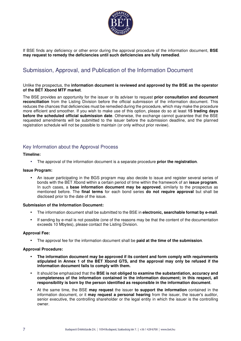

If BSE finds any deficiency or other error during the approval procedure of the information document, **BSE may request to remedy the deficiencies until such deficiencies are fully remedied**.

### Submission, Approval, and Publication of the Information Document

#### Unlike the prospectus, the **information document is reviewed and approved by the BSE as the operator of the BÉT Xbond MTF market**.

The BSE provides an opportunity for the issuer or its adviser to request **prior consultation and document reconciliation** from the Listing Division before the official submission of the information document. This reduces the chances that deficiencies must be remedied during the procedure, which may make the procedure more efficient and smoother. If you wish to make use of this option, please do so at least **15 trading days before the scheduled official submission date**. Otherwise, the exchange cannot guarantee that the BSE requested amendments will be submitted to the issuer before the submission deadline, and the planned registration schedule will not be possible to maintain (or only without prior review).

### Key Information about the Approval Process

#### **Timeline:**

• The approval of the information document is a separate procedure **prior the registration**.

#### **Issue Program:**

• An issuer participating in the BGS program may also decide to issue and register several series of bonds with the BÉT Xbond within a certain period of time within the framework of an **issue program**. In such cases, a **base information document may be approved**, similarly to the prospectus as mentioned before. The **final terms** for each bond series **do not require approval** but shall be disclosed prior to the date of the issue.

#### **Submission of the Information Document:**

- The information document shall be submitted to the BSE in **electronic, searchable format by e-mail**.
- If sending by e-mail is not possible (one of the reasons may be that the content of the documentation exceeds 10 Mbytes), please contact the Listing Division.

#### **Approval Fee:**

• The approval fee for the information document shall be **paid at the time of the submission**.

#### **Approval Procedure:**

- **The information document may be approved if its content and form comply with requirements stipulated in Annex 1 of the BÉT Xbond GTS, and the approval may only be refused if the information document fails to comply with them.**
- It should be emphasized that the **BSE is not obliged to examine the substantiation, accuracy and completeness of the information contained in the information document; in this respect, all responsibility is born by the person identified as responsible in the information document**.
- At the same time, the BSE **may request** the issuer **to support the information** contained in the information document, or it **may request a personal hearing** from the issuer, the issuer's auditor, senior executive, the controlling shareholder or the legal entity in which the issuer is the controlling owner.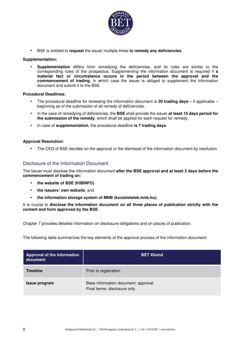

• BSE is entitled to **request** the issuer multiple times **to remedy any deficiencies**.

#### **Supplementation:**

• **Supplementation** differs from remedying the deficiencies, and its rules are similar to the corresponding rules of the prospectus. Supplementing the information document is required if **a material fact or circumstance occurs in the period between the approval and the commencement of trading**, in which case the issuer is obliged to supplement the information document and submit it to the BSE.

#### **Procedural Deadlines:**

- The procedural deadline for reviewing the information document is **20 trading days** if applicable beginning as of the submission of all remedy of deficiencies.
- In the case of remedying of deficiencies, the **BSE** shall provide the issuer **at least 15 days period for the submission of the remedy**, which shall be applied for each request for remedy.
- In case of **supplementation**, the procedural deadline **is 7 trading days**.

#### **Approval Resolution:**

• The CEO of BSE decides on the approval or the dismissal of the information document by resolution.

#### Disclosure of the Information Document

The Issuer must disclose the information document **after the BSE approval and at least 2 days before the commencement of trading on:** 

- **the website of BSE (KIBINFO)**
- **the issuers' own website**, and
- **the information storage system of MNB (kozzetetelek.mnb.hu).**

It is crucial to **disclose the information document on all three places of publication strictly with the content and form approved by the BSE**.

Chapter 7 provides detailed information on disclosure obligations and on places of publication.

The following table summarizes the key elements of the approval process of the information document:

| Approval of the information<br>document | <b>BÉT Xbond</b>                                                    |
|-----------------------------------------|---------------------------------------------------------------------|
| <b>Timeline</b>                         | Prior to registration                                               |
| <b>Issue program</b>                    | Base information document: approval<br>Final terms: disclosure only |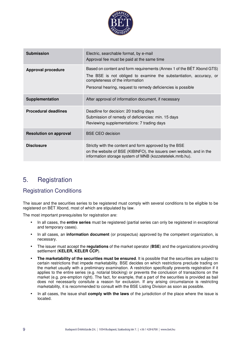

| <b>Submission</b>             | Electric, searchable format, by e-mail<br>Approval fee must be paid at the same time                                                                                                                                                           |  |
|-------------------------------|------------------------------------------------------------------------------------------------------------------------------------------------------------------------------------------------------------------------------------------------|--|
| <b>Approval procedure</b>     | Based on content and form requirements (Annex 1 of the BET Xbond GTS)<br>The BSE is not obliged to examine the substantiation, accuracy, or<br>completeness of the information<br>Personal hearing, request to remedy deficiencies is possible |  |
| Supplementation               | After approval of information document, if necessary                                                                                                                                                                                           |  |
| <b>Procedural deadlines</b>   | Deadline for decision: 20 trading days<br>Submission of remedy of deficiencies: min. 15 days<br>Reviewing supplementations: 7 trading days                                                                                                     |  |
| <b>Resolution on approval</b> | <b>BSE CEO decision</b>                                                                                                                                                                                                                        |  |
| <b>Disclosure</b>             | Strictly with the content and form approved by the BSE<br>on the website of BSE (KIBINFO), the issuers own website, and in the<br>information storage system of MNB (kozzetetelek.mnb.hu).                                                     |  |

# 5. Registration

### Registration Conditions

The issuer and the securities series to be registered must comply with several conditions to be eligible to be registered on BÉT Xbond, most of which are stipulated by law.

The most important prerequisites for registration are:

- In all cases, the **entire series** must be registered (partial series can only be registered in exceptional and temporary cases).
- In all cases, an **information document** (or prospectus) approved by the competent organization, is necessary.
- The issuer must accept the **regulations** of the market operator (**BSE**) and the organizations providing settlement (**KELER, KELER CCP**).
- **The marketability of the securities must be ensured**. It is possible that the securities are subject to certain restrictions that impede marketability. BSE decides on which restrictions preclude trading on the market usually with a preliminary examination. A restriction specifically prevents registration if it applies to the entire series (e.g. notarial blocking) or prevents the conclusion of transactions on the market (e.g. pre-emption right). The fact, for example, that a part of the securities is provided as bail does not necessarily consitute a reason for exclusion. If any arising circumstance is restricting marketability, it is recommended to consult with the BSE Listing Division as soon as possible.
- In all cases, the issue shall **comply with the laws** of the jurisdiction of the place where the issue is located.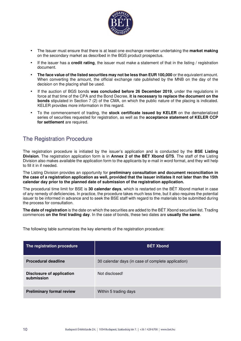

- The Issuer must ensure that there is at least one exchange member undertaking the **market making** on the secondary market as described in the BGS product prospectus.
- If the issuer has a **credit rating**, the issuer must make a statement of that in the listing / registration document.
- **The face value of the listed securities may not be less than EUR 100,000** or the equivalent amount. When converting the amount, the official exchange rate published by the MNB on the day of the decision on the placing shall be used.
- If the auction of BGS bonds **was concluded before 26 December 2019**, under the regulations in force at that time of the CPA and the Bond Decree, **it is necessary to replace the document on the bonds** stipulated in Section 7 (2) of the CMA, on which the public nature of the placing is indicated. KELER provides more information in this regard.
- To the commencement of trading, the **stock certificate issued by KELER** on the dematerialized series of securities requested for registration, as well as the **acceptance statement of KELER CCP for settlement** are required.

### The Registration Procedure

The registration procedure is initiated by the issuer's application and is conducted by the **BSE Listing Division**. The registration application form is in **Annex 2 of the BÉT Xbond GTS**. The staff of the Listing Division also makes available the application form to the applicants by e-mail in word format, and they will help to fill it in if needed.

The Listing Division provides an opportunity for **preliminary consultation and document reconciliation in the case of a registration application as well, provided that the issuer initiates it not later than the 15th calendar day prior to the planned date of submission of the registration application.**

The procedural time limit for BSE is **30 calendar days**, which is restarted on the BÉT Xbond market in case of any remedy of deficiencies. In practice, the procedure takes much less time, but it also requires the potential issuer to be informed in advance and to seek the BSE staff with regard to the materials to be submitted during the process for consultation.

**The date of registration** is the date on which the securities are added to the BÉT Xbond securities list. Trading commences **on the first trading day**. In the case of bonds, these two dates are **usually the same**.

The following table summarizes the key elements of the registration procedure:

| The registration procedure                     | <b>BÉT Xbond</b>                                   |
|------------------------------------------------|----------------------------------------------------|
| <b>Procedural deadline</b>                     | 30 calendar days (in case of complete application) |
| <b>Disclosure of application</b><br>submission | Not disclosed!                                     |
| <b>Preliminary formal review</b>               | Within 5 trading days                              |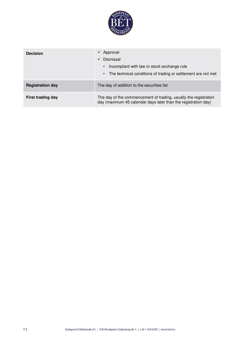

| <b>Decision</b>          | Approval<br>$\checkmark$<br>Dismissal<br>$\checkmark$<br>Incompliant with law or stock exchange rule<br>$\bullet$<br>The technical conditions of trading or settlement are not met<br>$\bullet$ |
|--------------------------|-------------------------------------------------------------------------------------------------------------------------------------------------------------------------------------------------|
| <b>Registration day</b>  | The day of addition to the securities list                                                                                                                                                      |
| <b>First trading day</b> | The day of the commencement of trading, usually the registration<br>day (maximum 45 calendar days later than the registration day)                                                              |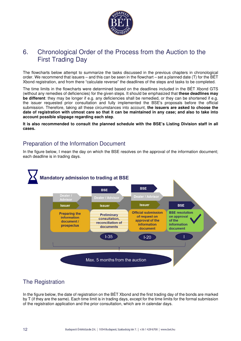

# 6. Chronological Order of the Process from the Auction to the First Trading Day

The flowcharts below attempt to summarize the tasks discussed in the previous chapters in chronological order. We recommend that issuers – and this can be seen in the flowchart – set a planned date (T) for the BÉT Xbond registration, and from there "calculate reverse" the deadlines of the steps and tasks to be completed.

The time limits in the flowcharts were determined based on the deadlines included in the BÉT Xbond GTS (without any remedies of deficiencies) for the given steps. It should be emphasized that **these deadlines may be different**: they may be longer if e.g. any deficiencies shall be remedied, or they can be shortened if e.g. the issuer requested prior consultation and fully implemented the BSE's proposals before the official submission. Therefore, taking all these circumstances into account, **the issuers are asked to choose the date of registration with utmost care so that it can be maintained in any case; and also to take into account possible slippage regarding each step**.

**It is also recommended to consult the planned schedule with the BSE's Listing Division staff in all cases.** 

### Preparation of the Information Document

In the figure below, I mean the day on which the BSE resolves on the approval of the information document; each deadline is in trading days.



# The Registration

In the figure below, the date of registration on the BÉT Xbond and the first trading day of the bonds are marked by T (if they are the same). Each time limit is in trading days, except for the time limits for the formal submission of the registration application and the prior consultation, which are in calendar days.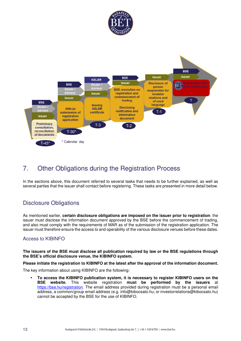



# 7. Other Obligations during the Registration Process

In the sections above, this document referred to several tasks that needs to be further explained, as well as several parties that the issuer shall contact before registering. These tasks are presented in more detail below.

### Disclosure Obligations

As mentioned earlier, **certain disclosure obligations are imposed on the issuer prior to registration**: the issuer must disclose the information document approved by the BSE before the commencement of trading, and also must comply with the requirements of MAR as of the submission of the registration application. The issuer must therefore ensure the access to and operability of the various disclosure venues before these dates.

### Access to KIBINFO

**The issuers of the BSE must disclose all publication required by law or the BSE regulations through the BSE's official disclosure venue, the KIBINFO system.** 

#### **Please initiate the registration to KIBINFO at the latest after the approval of the information document.**

The key information about using KIBINFO are the following:

• **To access the KIBINFO publication system, it is necessary to register KIBINFO users on the BSE website.** This website registration **must be performed by the issuers** at https://bse.hu/registration. The email address provided during registration must be a personal email address, a common/group email address (e.g. info@kibocsato.hu; or investorrelations@kibocsato.hu) cannot be accepted by the BSE for the use of KIBINFO.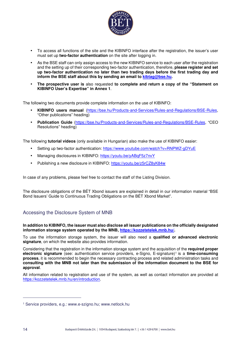

- To access all functions of the site and the KIBINFO interface after the registration, the issuer's user must set up **two-factor authentication** on the site after logging in.
- As the BSE staff can only assign access to the new KIBINFO service to each user after the registration and the setting up of their corresponding two-factor authentication, therefore, **please register and set up two-factor authentication no later than two trading days before the first trading day and inform the BSE staff about this by sending an email to kibtag@bse.hu.**
- **The prospective user is** also requested **to complete and return a copy of the "Statement on KIBINFO User's Expertise" in Annex 1**.

The following two documents provide complete information on the use of KIBINFO:

- **KIBINFO users manual** (https://bse.hu/Products-and-Services/Rules-and-Regulations/BSE-Rules, "Other publications" heading)
- **Publication Guide** (https://bse.hu/Products-and-Services/Rules-and-Regulations/BSE-Rules, "CEO Resolutions" heading)

The following **tutorial videos** (only available in Hungarian) also make the use of KIBINFO easier:

- Setting up two-factor authentication: https://www.youtube.com/watch?v=RNPWZ-qDYuE
- Managing disclosures in KIBINFO: https://youtu.be/yABqF5z7nvY
- Publishing a new disclosure in KIBINFO: https://youtu.be/z5rCZ8yK84w

In case of any problems, please feel free to contact the staff of the Listing Division.

The disclosure obligations of the BÉT Xbond issuers are explained in detail in our information material "BSE Bond Issuers' Guide to Continuous Trading Obligations on the BÉT Xbond Market".

#### Accessing the Disclosure System of MNB

**In addition to KIBINFO, the issuer must also disclose all issuer publications on the officially designated information storage system operated by the MNB, https://kozzetetelek.mnb.hu/.** 

To use the information storage system, the issuer will also need a **qualified or advanced electronic signature**, on which the website also provides information.

Considering that the registration in the information storage system and the acquisition of the **required proper electronic signature** (see: authentication service providers, e-Signo, E-signature)<sup>1</sup> is a **time-consuming process**, it is recommended to begin the necessary contracting process and related administration tasks and **consulting with the MNB not later than the submission of the information document to the BSE for approval**.

All information related to registration and use of the system, as well as contact information are provided at https://kozzetetelek.mnb.hu/en/introduction.

<sup>1</sup> Service providers, e.g.: www.e-szigno.hu; www.netlock.hu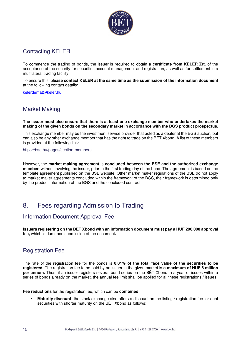

### Contacting KELER

To commence the trading of bonds, the issuer is required to obtain a **certificate from KELER Zrt.** of the acceptance of the security for securities account management and registration, as well as for settlement in a multilateral trading facility.

To ensure this, pl**ease contact KELER at the same time as the submission of the information document**  at the following contact details:

kelerdemat@keler.hu

### Market Making

**The issuer must also ensure that there is at least one exchange member who undertakes the market making of the given bonds on the secondary market in accordance with the BGS product prospectus.** 

This exchange member may be the investment service provider that acted as a dealer at the BGS auction, but can also be any other exchange member that has the right to trade on the BÉT Xbond. A list of these members is provided at the following link:

https://bse.hu/pages/section-members

However, the **market making agreement** is **concluded between the BSE and the authorized exchange member**, without involving the issuer, prior to the first trading day of the bond. The agreement is based on the template agreement published on the BSE website. Other market maker regulations of the BSE do not apply to market maker agreements concluded within the framework of the BGS, their framework is determined only by the product information of the BGS and the concluded contract.

# 8. Fees regarding Admission to Trading

### Information Document Approval Fee

**Issuers registering on the BÉT Xbond with an information document must pay a HUF 200,000 approval fee,** which is due upon submission of the document**.** 

### Registration Fee

The rate of the registration fee for the bonds is **0.01% of the total face value of the securities to be registered**. The registration fee to be paid by an issuer in the given market is **a maximum of HUF 6 million per annum.** Thus, if an issuer registers several bond series on the BÉT Xbond in a year or issues within a series of bonds already on the market, the annual fee limit shall be applied for all these registrations / issues.

**Fee reductions** for the registration fee, which can be **combined**:

• **Maturity discount:** the stock exchange also offers a discount on the listing / registration fee for debt securities with shorter maturity on the BÉT Xbond as follows: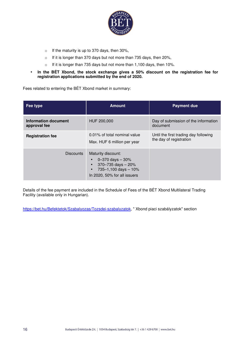

- o If the maturity is up to 370 days, then 30%,
- o If it is longer than 370 days but not more than 735 days, then 20%,
- o If it is longer than 735 days but not more than 1,100 days, then 10%.
- **In the BÉT Xbond, the stock exchange gives a 50% discount on the registration fee for registration applications submitted by the end of 2020.**

Fees related to entering the BÉT Xbond market in summary:

| Fee type                             | <b>Amount</b>                                                                                                                                | <b>Payment due</b>                                               |
|--------------------------------------|----------------------------------------------------------------------------------------------------------------------------------------------|------------------------------------------------------------------|
| Information document<br>approval fee | HUF 200,000                                                                                                                                  | Day of submission of the information<br>document                 |
| <b>Registration fee</b>              | 0.01% of total nominal value<br>Max. HUF 6 million per year                                                                                  | Until the first trading day following<br>the day of registration |
| <b>Discounts</b>                     | Maturity discount:<br>0-370 days $-30%$<br>$370 - 735$ days $-20%$<br>$735 - 1,100$ days $-10%$<br>$\bullet$<br>In 2020, 50% for all issuers |                                                                  |

Details of the fee payment are included in the Schedule of Fees of the BÉT Xbond Multilateral Trading Facility (available only in Hungarian).

https://bet.hu/Befektetok/Szabalyozas/Tozsdei-szabalyzatok, " Xbond piaci szabályzatok" section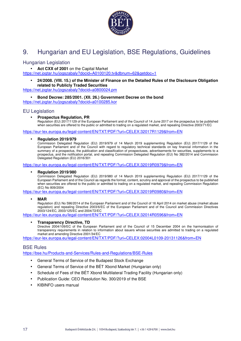

# 9. Hungarian and EU Legislation, BSE Regulations, Guidelines

#### Hungarian Legislation

• **Act CXX of 2001** on the Capital Market

https://net.jogtar.hu/jogszabaly?docid=A0100120.tv&dbnum=62&getdoc=1

#### • **24/2008. (VIII. 15.) of the Minister of Finance on the Detailed Rules of the Disclosure Obligation related to Publicly Traded Securities**

https://net.jogtar.hu/jogszabaly?docid=a0800024.pm

• **Bond Decree: 285/2001. (XII. 26.) Government Decree on the bond** 

https://net.jogtar.hu/jogszabaly?docid=a0100285.kor

#### EU Legislation

#### • **Prospectus Regulation, PR**

Regulation (EU) 2017/1129 of the European Parliament and of the Council of 14 June 2017 on the prospectus to be published when securities are offered to the public or admitted to trading on a regulated market, and repealing Directive 2003/71/EC

https://eur-lex.europa.eu/legal-content/EN/TXT/PDF/?uri=CELEX:32017R1129&from=EN

#### • **Regulation 2019/979**

Commission Delegated Regulation (EU) 2019/979 of 14 March 2019 supplementing Regulation (EU) 2017/1129 of the European Parliament and of the Council with regard to regulatory technical standards on key financial information in the summary of a prospectus, the publication and classification of prospectuses, advertisements for securities, supplements to a prospectus, and the notification portal, and repealing Commission Delegated Regulation (EU) No 382/2014 and Commission Delegated Regulation (EU) 2016/301

https://eur-lex.europa.eu/legal-content/EN/TXT/PDF/?uri=CELEX:32019R0979&from=EN

#### • **Regulation 2019/980**

Commission Delegated Regulation (EU) 2019/980 of 14 March 2019 supplementing Regulation (EU) 2017/1129 of the European Parliament and of the Council as regards the format, content, scrutiny and approval of the prospectus to be published when securities are offered to the public or admitted to trading on a regulated market, and repealing Commission Regulation (EC) No 809/2004

https://eur-lex.europa.eu/legal-content/EN/TXT/PDF/?uri=CELEX:32019R0980&from=EN

#### • **MAR**

Regulation (EU) No 596/2014 of the European Parliament and of the Council of 16 April 2014 on market abuse (market abuse regulation) and repealing Directive 2003/6/EC of the European Parliament and of the Council and Commission Directives 2003/124/EC, 2003/125/EC and 2004/72/EC

https://eur-lex.europa.eu/legal-content/EN/TXT/PDF/?uri=CELEX:32014R0596&from=EN

#### • **Transparency Directive, TD**

Directive 2004/109/EC of the European Parliament and of the Council of 15 December 2004 on the harmonisation of transparency requirements in relation to information about issuers whose securities are admitted to trading on a regulated market and amending Directive 2001/34/EC

https://eur-lex.europa.eu/legal-content/EN/TXT/PDF/?uri=CELEX:02004L0109-20131126&from=EN

#### BSE Rules

https://bse.hu/Products-and-Services/Rules-and-Regulations/BSE-Rules

- General Terms of Service of the Budapest Stock Exchange
- General Terms of Service of the BÉT Xbond Market (Hungarian only)
- Schedule of Fees of the BÉT Xbond Multilateral Trading Facility (Hungarian only)
- Publication Guide: CEO Resolution No. 300/2019 of the BSE
- KIBINFO users manual